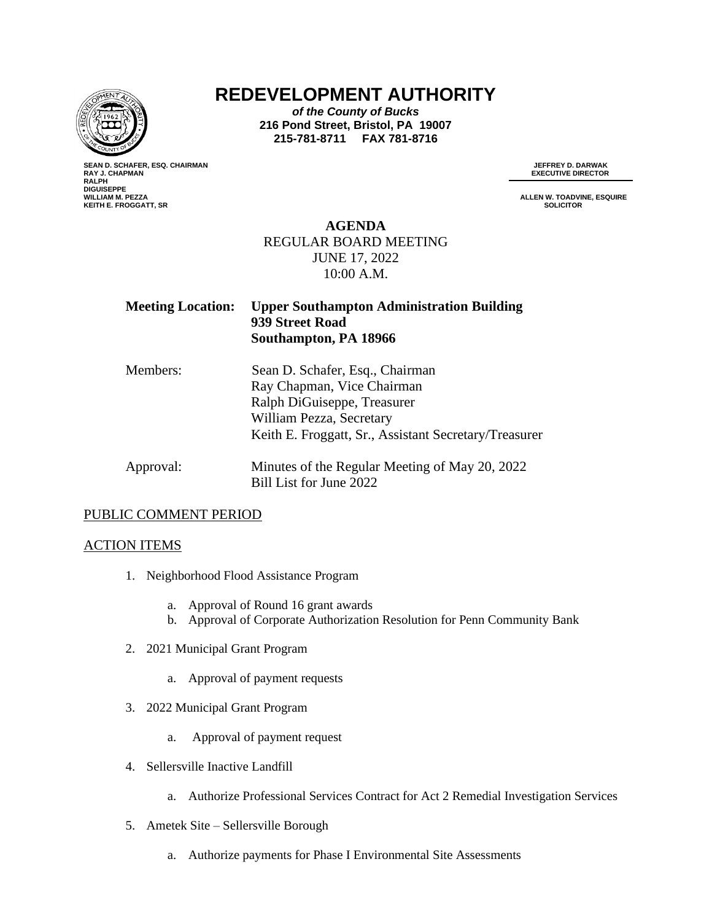

# **REDEVELOPMENT AUTHORITY**

*of the County of Bucks* **216 Pond Street, Bristol, PA 19007 215-781-8711 FAX 781-8716**

**SEAN D. SCHAFER, ESQ. CHAIRMAN RAY J. CHAPMAN<br>RALPH DIGUISEPPE KEITH E. FROGGATT, SR SOLICITOR**

**JEFFREY D. DARWAK<br>EXECUTIVE DIRECTOR** 

**ALLEN W. TOADVINE, ESQUIRE**<br>SOLICITOR

### **AGENDA** REGULAR BOARD MEETING JUNE 17, 2022 10:00 A.M.

| <b>Meeting Location:</b> | <b>Upper Southampton Administration Building</b><br>939 Street Road<br>Southampton, PA 18966 |
|--------------------------|----------------------------------------------------------------------------------------------|
| Members:                 | Sean D. Schafer, Esq., Chairman                                                              |
|                          | Ray Chapman, Vice Chairman                                                                   |
|                          | Ralph DiGuiseppe, Treasurer                                                                  |
|                          | William Pezza, Secretary                                                                     |
|                          | Keith E. Froggatt, Sr., Assistant Secretary/Treasurer                                        |
| Approval:                | Minutes of the Regular Meeting of May 20, 2022                                               |
|                          | Bill List for June 2022                                                                      |

#### PUBLIC COMMENT PERIOD

#### ACTION ITEMS

- 1. Neighborhood Flood Assistance Program
	- a. Approval of Round 16 grant awards
	- b. Approval of Corporate Authorization Resolution for Penn Community Bank
- 2. 2021 Municipal Grant Program
	- a. Approval of payment requests
- 3. 2022 Municipal Grant Program
	- a. Approval of payment request
- 4. Sellersville Inactive Landfill
	- a. Authorize Professional Services Contract for Act 2 Remedial Investigation Services
- 5. Ametek Site Sellersville Borough
	- a. Authorize payments for Phase I Environmental Site Assessments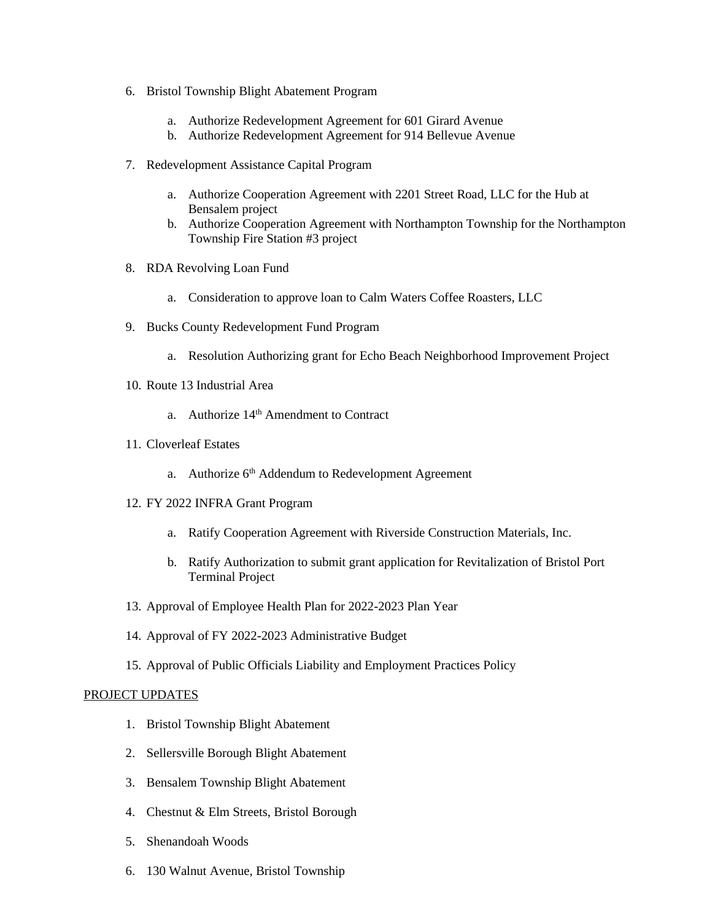- 6. Bristol Township Blight Abatement Program
	- a. Authorize Redevelopment Agreement for 601 Girard Avenue
	- b. Authorize Redevelopment Agreement for 914 Bellevue Avenue
- 7. Redevelopment Assistance Capital Program
	- a. Authorize Cooperation Agreement with 2201 Street Road, LLC for the Hub at Bensalem project
	- b. Authorize Cooperation Agreement with Northampton Township for the Northampton Township Fire Station #3 project
- 8. RDA Revolving Loan Fund
	- a. Consideration to approve loan to Calm Waters Coffee Roasters, LLC
- 9. Bucks County Redevelopment Fund Program
	- a. Resolution Authorizing grant for Echo Beach Neighborhood Improvement Project
- 10. Route 13 Industrial Area
	- a. Authorize 14<sup>th</sup> Amendment to Contract
- 11. Cloverleaf Estates
	- a. Authorize 6<sup>th</sup> Addendum to Redevelopment Agreement
- 12. FY 2022 INFRA Grant Program
	- a. Ratify Cooperation Agreement with Riverside Construction Materials, Inc.
	- b. Ratify Authorization to submit grant application for Revitalization of Bristol Port Terminal Project
- 13. Approval of Employee Health Plan for 2022-2023 Plan Year
- 14. Approval of FY 2022-2023 Administrative Budget
- 15. Approval of Public Officials Liability and Employment Practices Policy

#### PROJECT UPDATES

- 1. Bristol Township Blight Abatement
- 2. Sellersville Borough Blight Abatement
- 3. Bensalem Township Blight Abatement
- 4. Chestnut & Elm Streets, Bristol Borough
- 5. Shenandoah Woods
- 6. 130 Walnut Avenue, Bristol Township